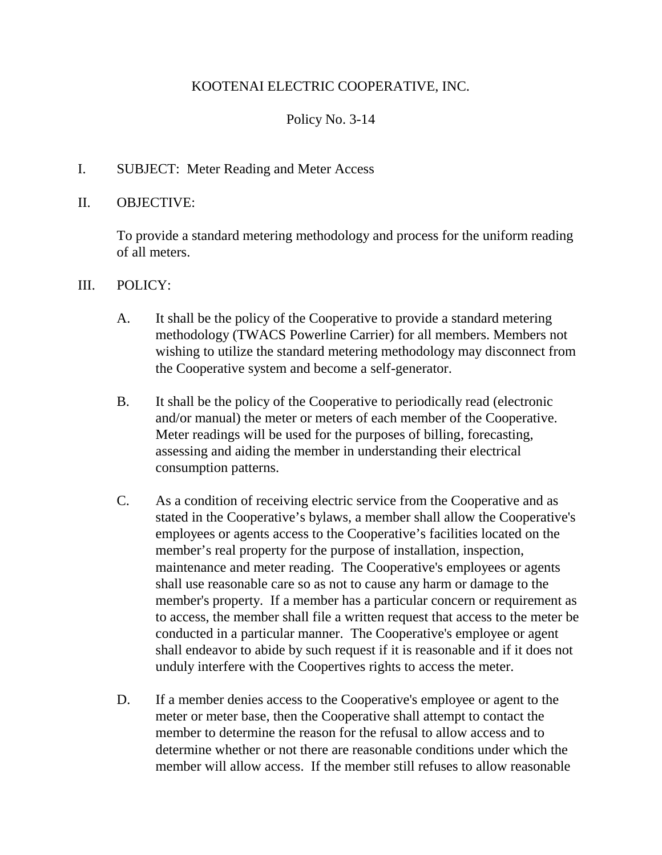# KOOTENAI ELECTRIC COOPERATIVE, INC.

# Policy No. 3-14

### I. SUBJECT: Meter Reading and Meter Access

### II. OBJECTIVE:

To provide a standard metering methodology and process for the uniform reading of all meters.

#### III. POLICY:

- A. It shall be the policy of the Cooperative to provide a standard metering methodology (TWACS Powerline Carrier) for all members. Members not wishing to utilize the standard metering methodology may disconnect from the Cooperative system and become a self-generator.
- B. It shall be the policy of the Cooperative to periodically read (electronic and/or manual) the meter or meters of each member of the Cooperative. Meter readings will be used for the purposes of billing, forecasting, assessing and aiding the member in understanding their electrical consumption patterns.
- C. As a condition of receiving electric service from the Cooperative and as stated in the Cooperative's bylaws, a member shall allow the Cooperative's employees or agents access to the Cooperative's facilities located on the member's real property for the purpose of installation, inspection, maintenance and meter reading. The Cooperative's employees or agents shall use reasonable care so as not to cause any harm or damage to the member's property. If a member has a particular concern or requirement as to access, the member shall file a written request that access to the meter be conducted in a particular manner. The Cooperative's employee or agent shall endeavor to abide by such request if it is reasonable and if it does not unduly interfere with the Coopertives rights to access the meter.
- D. If a member denies access to the Cooperative's employee or agent to the meter or meter base, then the Cooperative shall attempt to contact the member to determine the reason for the refusal to allow access and to determine whether or not there are reasonable conditions under which the member will allow access. If the member still refuses to allow reasonable